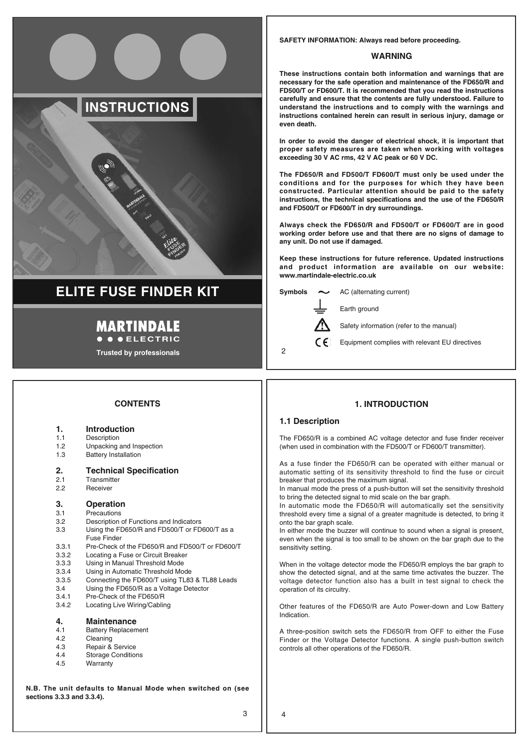# **INSTRUCTIONS**

# **ELITE FUSE FINDER KIT**

### **MARTINDALE COLECTRIC**

**Trusted by professionals**

### **SAFETY INFORMATION: Always read before proceeding.**

### **WARNING**

**These instructions contain both information and warnings that are necessary for the safe operation and maintenance of the FD650/R and FD500/T or FD600/T. It is recommended that you read the instructions carefully and ensure that the contents are fully understood. Failure to understand the instructions and to comply with the warnings and instructions contained herein can result in serious injury, damage or even death.**

**In order to avoid the danger of electrical shock, it is important that proper safety measures are taken when working with voltages exceeding 30 V AC rms, 42 V AC peak or 60 V DC.**

**The FD650/R and FD500/T FD600/T must only be used under the conditions and for the purposes for which they have been constructed. Particular attention should be paid to the safety instructions, the technical specifications and the use of the FD650/R and FD500/T or FD600/T in dry surroundings.**

**Always check the FD650/R and FD500/T or FD600/T are in good working order before use and that there are no signs of damage to any unit. Do not use if damaged.**

**Keep these instructions for future reference. Updated instructions and product information are available on our website: www.martindale-electric.co.uk**



 $\mathfrak{p}$ 

Earth ground

Safety information (refer to the manual)

Equipment complies with relevant EU directives

### **CONTENTS**

- 1.1 Description
- 1.2 Unpacking and Inspection<br>1.3 Battery Installation
- Battery Installation

# **2. Technical Specification**<br>2.1 Transmitter

- 2.1 Transmitter<br>2.2 Beceiver
- **Receiver**

# **3. Operation**<br>3.1 Precautions

- 3.1 Precautions<br>3.2 Description
- 3.2 Description of Functions and Indicators<br>3.3 Using the FD650/R and FD500/T or FD
- Using the FD650/R and FD500/T or FD600/T as a Fuse Finder
- 3.3.1 Pre-Check of the FD650/R and FD500/T or FD600/T<br>3.3.2 Locating a Fuse or Circuit Breaker
- Locating a Fuse or Circuit Breaker
- 3.3.3 Using in Manual Threshold Mode<br>3.3.4 Using in Automatic Threshold Mode
- 3.3.4 Using in Automatic Threshold Mode<br>3.3.5 Connecting the FD600/T using TL83
- 3.3.5 Connecting the FD600/T using TL83 & TL88 Leads
- 3.4 Using the FD650/R as a Voltage Detector 3.4.1 Pre-Check of the FD650/R
- 3.4.2 Locating Live Wiring/Cabling
- 

## **4. Maintenance**<br>4.1 **Battery Benlacem**

- Battery Replacement
- 4.2 Cleaning<br>4.3 Benair & Repair & Service
- 4.4 Storage Conditions
- 4.5 Warranty
- 

**N.B. The unit defaults to Manual Mode when switched on (see sections 3.3.3 and 3.3.4).**

### **1. INTRODUCTION**

### **1.1 Description**

The FD650/R is a combined AC voltage detector and fuse finder receiver (when used in combination with the FD500/T or FD600/T transmitter).

As a fuse finder the FD650/R can be operated with either manual or automatic setting of its sensitivity threshold to find the fuse or circuit breaker that produces the maximum signal.

In manual mode the press of a push-button will set the sensitivity threshold to bring the detected signal to mid scale on the bar graph.

In automatic mode the FD650/R will automatically set the sensitivity threshold every time a signal of a greater magnitude is detected, to bring it onto the bar graph scale.

In either mode the buzzer will continue to sound when a signal is present, even when the signal is too small to be shown on the bar graph due to the sensitivity setting.

When in the voltage detector mode the FD650/R employs the bar graph to show the detected signal, and at the same time activates the buzzer. The voltage detector function also has a built in test signal to check the operation of its circuitry.

Other features of the FD650/R are Auto Power-down and Low Battery Indication.

A three-position switch sets the FD650/R from OFF to either the Fuse Finder or the Voltage Detector functions. A single push-button switch controls all other operations of the FD650/R.

4

3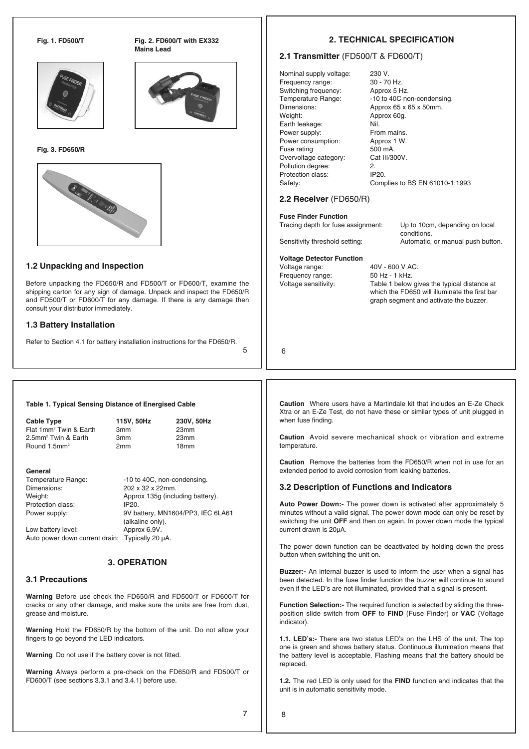

**Fig. 1. FD500/T Fig. 2. FD600/T with EX332 Mains Lead**



**Fig. 3. FD650/R**



### **1.2 Unpacking and Inspection**

Before unpacking the FD650/R and FD500/T or FD600/T, examine the shipping carton for any sign of damage. Unpack and inspect the FD650/R and FD500/T or FD600/T for any damage. If there is any damage then consult your distributor immediately.

### **1.3 Battery Installation**

Refer to Section 4.1 for battery installation instructions for the FD650/R.

5

### **2. TECHNICAL SPECIFICATION**

### **2.1 Transmitter** (FD500/T & FD600/T)

Nominal supply voltage: 230 V.<br>Frequency range: 30 - 70 Hz. Frequency range: Switching frequency: Approx 5 Hz. Weight: Approx 60g. Earth leakage: Nil. Power supply: From mains. Power consumption: Approx 1 W.<br>Fuse rating 500 mA Fuse rating Overvoltage category: Cat III/300V. Pollution degree: 2. Protection class: IP20.

Temperature Range: -10 to 40C non-condensing. Dimensions: Approx 65 x 65 x 50mm. Safety: Complies to BS EN 61010-1:1993

### **2.2 Receiver** (FD650/R)

**Voltage Detector Function**

Frequency range:

**Fuse Finder Function** Tracing depth for fuse assignment: Up to 10cm, depending on local

conditions. Sensitivity threshold setting: Automatic, or manual push button.

Voltage range: 40V - 600 V AC.<br>Frequency range: 50 Hz - 1 kHz. Voltage sensitivity: Table 1 below gives the typical distance at which the FD650 will illuminate the first bar graph segment and activate the buzzer.

6

**Cable Type 115V, 50Hz 230V, 50Hz** Flat 1mm<sup>2</sup> Twin & Earth 3mm 23mm 2.5mm2 Twin & Earth 3mm 23mm Round 1.5mm<sup>2</sup> 2mm 18mm **General** Temperature Range: -10 to 40C, non-condensing. Dimensions: 202 x 32 x 22mm. Weight:  $\begin{array}{c}\n\text{Weyn} \\
\text{Approx 135g (including battery)} \\
\text{Protraction class:}\n\end{array}$ Protection class: Power supply: 9V battery, MN1604/PP3, IEC 6LA61 (alkaline only). Low battery level: Approx 6.9V Auto power down current drain: Typically 20 μA.

**Table 1. Typical Sensing Distance of Energised Cable**

### **3. OPERATION**

### **3.1 Precautions**

**Warning** Before use check the FD650/R and FD500/T or FD600/T for cracks or any other damage, and make sure the units are free from dust, grease and moisture.

**Warning** Hold the FD650/R by the bottom of the unit. Do not allow your fingers to go beyond the LED indicators.

**Warning** Do not use if the battery cover is not fitted.

**Warning** Always perform a pre-check on the FD650/R and FD500/T or FD600/T (see sections 3.3.1 and 3.4.1) before use.

**Caution** Where users have a Martindale kit that includes an E-Ze Check Xtra or an E-Ze Test, do not have these or similar types of unit plugged in when fuse finding.

**Caution** Avoid severe mechanical shock or vibration and extreme temperature.

**Caution** Remove the batteries from the FD650/R when not in use for an extended period to avoid corrosion from leaking batteries.

### **3.2 Description of Functions and Indicators**

**Auto Power Down:-** The power down is activated after approximately 5 minutes without a valid signal. The power down mode can only be reset by switching the unit **OFF** and then on again. In power down mode the typical current drawn is 20μA.

The power down function can be deactivated by holding down the press button when switching the unit on.

**Buzzer:-** An internal buzzer is used to inform the user when a signal has been detected. In the fuse finder function the buzzer will continue to sound even if the LED's are not illuminated, provided that a signal is present.

**Function Selection:-** The required function is selected by sliding the threeposition slide switch from **OFF** to **FIND** (Fuse Finder) or **VAC** (Voltage indicator).

**1.1. LED's:-** There are two status LED's on the LHS of the unit. The top one is green and shows battery status. Continuous illumination means that the battery level is acceptable. Flashing means that the battery should be replaced.

**1.2.** The red LED is only used for the **FIND** function and indicates that the unit is in automatic sensitivity mode.

8

7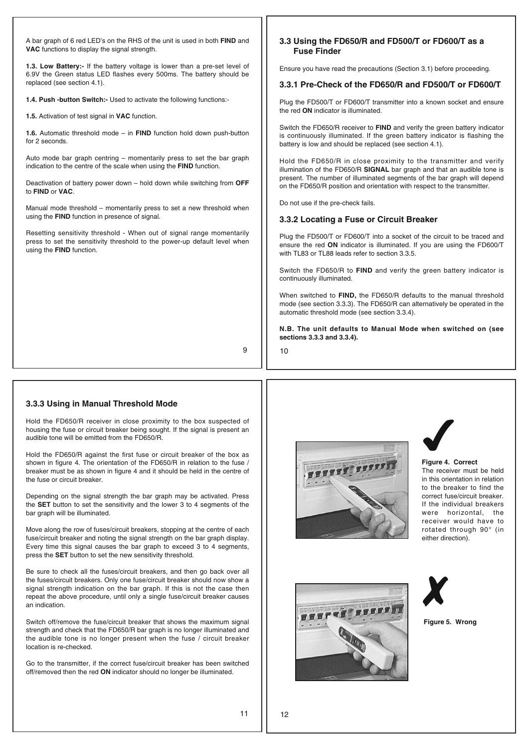A bar graph of 6 red LED's on the RHS of the unit is used in both **FIND** and **VAC** functions to display the signal strength.

**1.3. Low Battery:-** If the battery voltage is lower than a pre-set level of 6.9V the Green status LED flashes every 500ms. The battery should be replaced (see section 4.1).

**1.4. Push -button Switch:-** Used to activate the following functions:-

**1.5.** Activation of test signal in **VAC** function.

**1.6.** Automatic threshold mode – in **FIND** function hold down push-button for 2 seconds.

Auto mode bar graph centring – momentarily press to set the bar graph indication to the centre of the scale when using the **FIND** function.

Deactivation of battery power down – hold down while switching from **OFF** to **FIND** or **VAC**.

Manual mode threshold – momentarily press to set a new threshold when using the **FIND** function in presence of signal.

Resetting sensitivity threshold - When out of signal range momentarily press to set the sensitivity threshold to the power-up default level when using the **FIND** function.

### **3.3 Using the FD650/R and FD500/T or FD600/T as a Fuse Finder**

Ensure you have read the precautions (Section 3.1) before proceeding.

### **3.3.1 Pre-Check of the FD650/R and FD500/T or FD600/T**

Plug the FD500/T or FD600/T transmitter into a known socket and ensure the red **ON** indicator is illuminated.

Switch the FD650/R receiver to **FIND** and verify the green battery indicator is continuously illuminated. If the green battery indicator is flashing the battery is low and should be replaced (see section 4.1).

Hold the FD650/R in close proximity to the transmitter and verify illumination of the FD650/R **SIGNAL** bar graph and that an audible tone is present. The number of illuminated segments of the bar graph will depend on the FD650/R position and orientation with respect to the transmitter.

Do not use if the pre-check fails.

### **3.3.2 Locating a Fuse or Circuit Breaker**

Plug the FD500/T or FD600/T into a socket of the circuit to be traced and ensure the red **ON** indicator is illuminated. If you are using the FD600/T with TL83 or TL88 leads refer to section 3.3.5.

Switch the FD650/R to **FIND** and verify the green battery indicator is continuously illuminated.

When switched to **FIND,** the FD650/R defaults to the manual threshold mode (see section 3.3.3). The FD650/R can alternatively be operated in the automatic threshold mode (see section 3.3.4).

**N.B. The unit defaults to Manual Mode when switched on (see sections 3.3.3 and 3.3.4).**

9

10

### **3.3.3 Using in Manual Threshold Mode**

Hold the FD650/R receiver in close proximity to the box suspected of housing the fuse or circuit breaker being sought. If the signal is present an audible tone will be emitted from the FD650/R.

Hold the FD650/R against the first fuse or circuit breaker of the box as shown in figure 4. The orientation of the FD650/R in relation to the fuse / breaker must be as shown in figure 4 and it should be held in the centre of the fuse or circuit breaker.

Depending on the signal strength the bar graph may be activated. Press the **SET** button to set the sensitivity and the lower 3 to 4 segments of the bar graph will be illuminated.

Move along the row of fuses/circuit breakers, stopping at the centre of each fuse/circuit breaker and noting the signal strength on the bar graph display. Every time this signal causes the bar graph to exceed 3 to 4 segments, press the **SET** button to set the new sensitivity threshold.

Be sure to check all the fuses/circuit breakers, and then go back over all the fuses/circuit breakers. Only one fuse/circuit breaker should now show a signal strength indication on the bar graph. If this is not the case then repeat the above procedure, until only a single fuse/circuit breaker causes an indication.

Switch off/remove the fuse/circuit breaker that shows the maximum signal strength and check that the FD650/R bar graph is no longer illuminated and the audible tone is no longer present when the fuse / circuit breaker location is re-checked.

Go to the transmitter, if the correct fuse/circuit breaker has been switched off/removed then the red **ON** indicator should no longer be illuminated.



# ✔

**Figure 4. Correct**  The receiver must be held in this orientation in relation to the breaker to find the correct fuse/circuit breaker. If the individual breakers were horizontal, the receiver would have to rotated through 90° (in either direction).





### **Figure 5. Wrong**

11